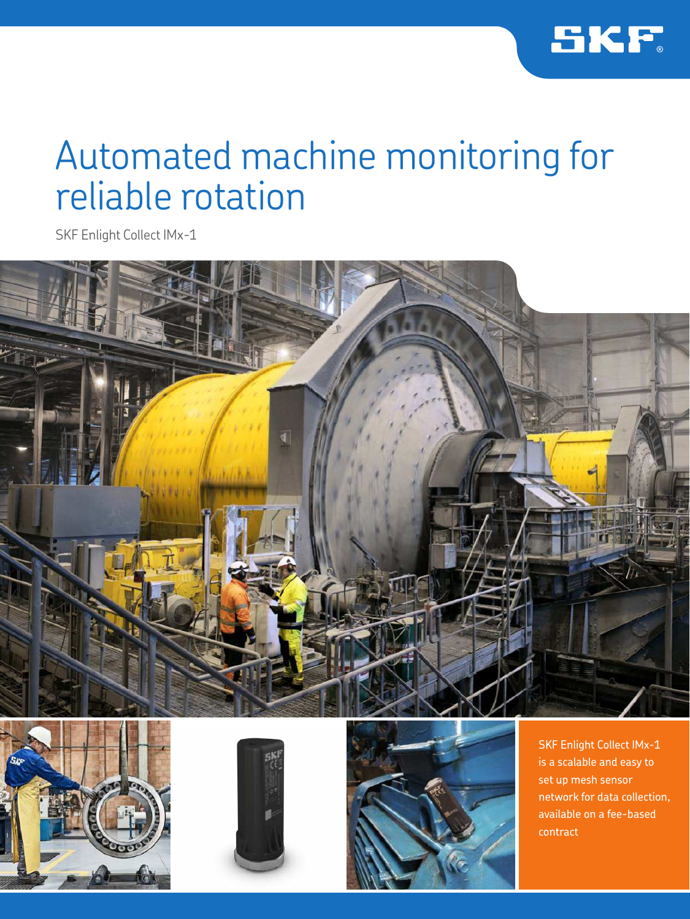

### Automated machine monitoring for reliable rotation

SKF Enlight Collect IMx-1









SKF Enlight Collect IMx-1 is a scalable and easy to set up mesh sensor network for data collection, available on a fee-based contract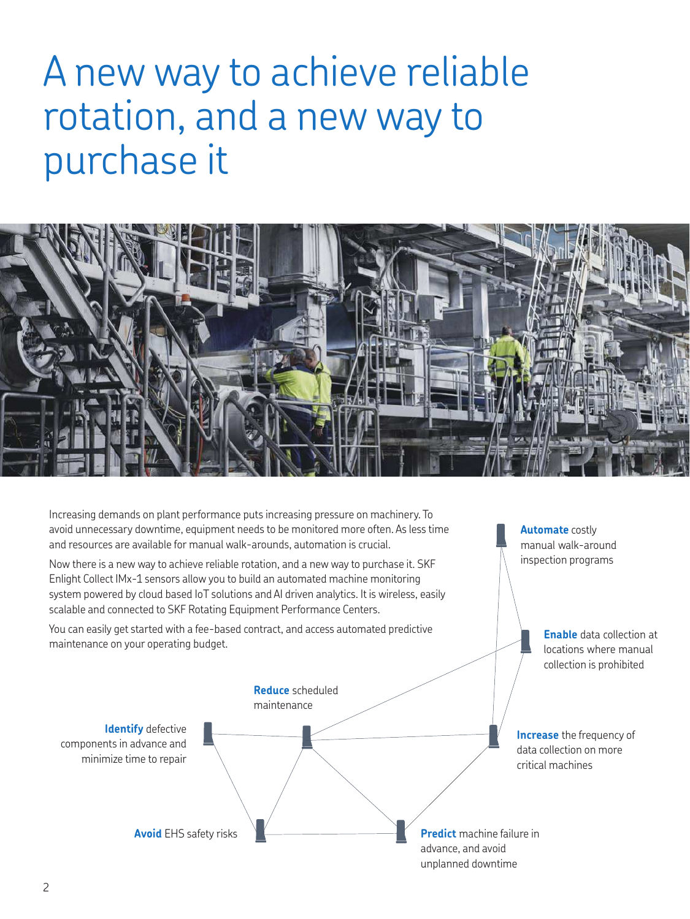# A new way to achieve reliable rotation, and a new way to purchase it



Increasing demands on plant performance puts increasing pressure on machinery. To avoid unnecessary downtime, equipment needs to be monitored more often. As less time and resources are available for manual walk-arounds, automation is crucial.

Now there is a new way to achieve reliable rotation, and a new way to purchase it. SKF Enlight Collect IMx-1 sensors allow you to build an automated machine monitoring system powered by cloud based IoT solutions and AI driven analytics. It is wireless, easily scalable and connected to SKF Rotating Equipment Performance Centers.

You can easily get started with a fee-based contract, and access automated predictive maintenance on your operating budget.

**Automate** costly manual walk-around inspection programs

> **Enable** data collection at locations where manual collection is prohibited

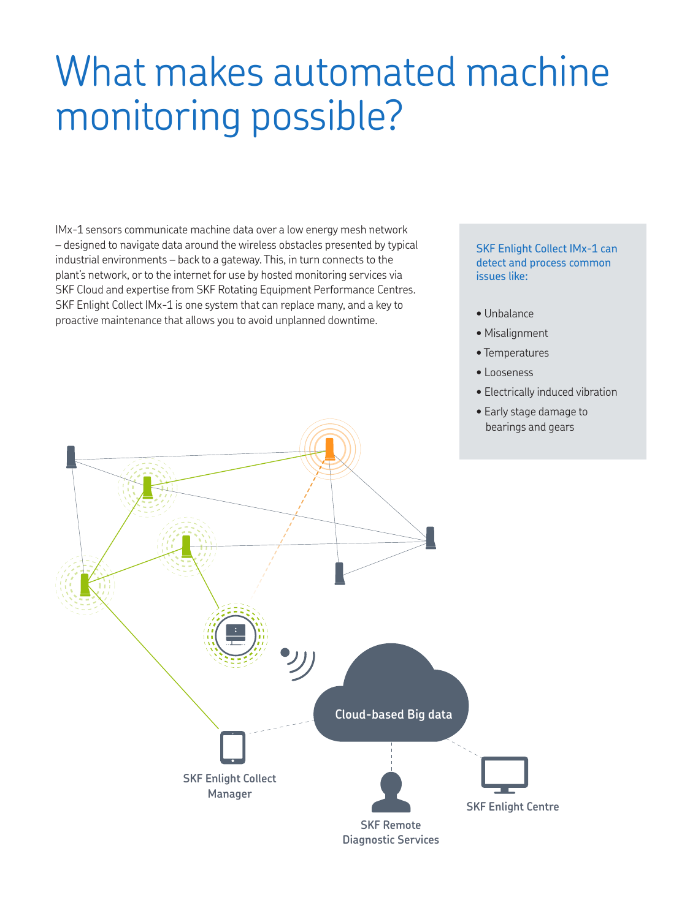# What makes automated machine monitoring possible?

IMx-1 sensors communicate machine data over a low energy mesh network – designed to navigate data around the wireless obstacles presented by typical industrial environments – back to a gateway. This, in turn connects to the plant's network, or to the internet for use by hosted monitoring services via SKF Cloud and expertise from SKF Rotating Equipment Performance Centres. SKF Enlight Collect IMx-1 is one system that can replace many, and a key to proactive maintenance that allows you to avoid unplanned downtime.

#### SKF Enlight Collect IMx-1 can detect and process common issues like:

- Unbalance
- Misalignment
- Temperatures
- Looseness
- Electrically induced vibration
- Early stage damage to bearings and gears